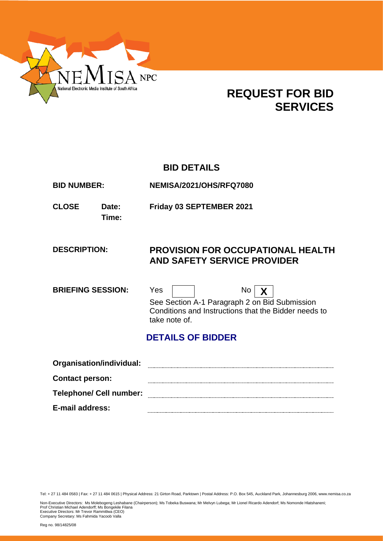

# **REQUEST FOR BID SERVICES**

# **BID DETAILS**

**BID NUMBER: NEMISA/2021/OHS/RFQ7080**

**Time:**

**CLOSE Date: Friday 03 SEPTEMBER 2021**

# **DESCRIPTION: PROVISION FOR OCCUPATIONAL HEALTH AND SAFETY SERVICE PROVIDER**

**BRIEFING SESSION:** Yes | | No | **X** See Section A-1 Paragraph 2 on Bid Submission Conditions and Instructions that the Bidder needs to take note of.

# **DETAILS OF BIDDER**

| Organisation/individual:       |  |
|--------------------------------|--|
| <b>Contact person:</b>         |  |
| <b>Telephone/ Cell number:</b> |  |
| <b>E-mail address:</b>         |  |

Tel: + 27 11 484 0583 | Fax: + 27 11 484 0615 | Physical Address: 21 Girton Road, Parktown | Postal Address: P.O. Box 545, Auckland Park, Johannesburg 2006, www.nemisa.co.za

Non-Executive Directors: Ms Molebogeng Leshabane (Chairperson); Ms Tobeka Buswana; Mr Melvyn Lubega; Mr Lionel Ricardo Adendorf; Ms Nomonde Hlatshaneni;<br>Prof Christian Michael Adendorff; Ms Bongekile Filana<br>Executive Dire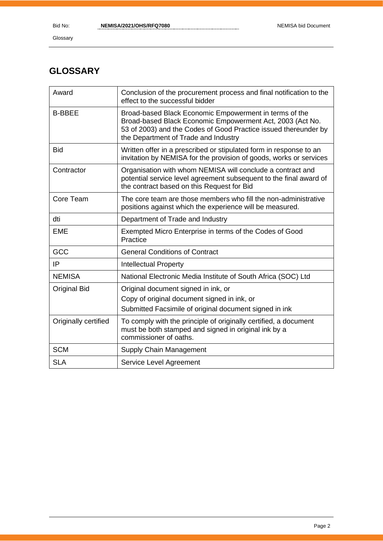# **GLOSSARY**

| Award                | Conclusion of the procurement process and final notification to the<br>effect to the successful bidder                                                                                                                         |
|----------------------|--------------------------------------------------------------------------------------------------------------------------------------------------------------------------------------------------------------------------------|
| <b>B-BBEE</b>        | Broad-based Black Economic Empowerment in terms of the<br>Broad-based Black Economic Empowerment Act, 2003 (Act No.<br>53 of 2003) and the Codes of Good Practice issued thereunder by<br>the Department of Trade and Industry |
| <b>Bid</b>           | Written offer in a prescribed or stipulated form in response to an<br>invitation by NEMISA for the provision of goods, works or services                                                                                       |
| Contractor           | Organisation with whom NEMISA will conclude a contract and<br>potential service level agreement subsequent to the final award of<br>the contract based on this Request for Bid                                                 |
| Core Team            | The core team are those members who fill the non-administrative<br>positions against which the experience will be measured.                                                                                                    |
| dti                  | Department of Trade and Industry                                                                                                                                                                                               |
| <b>EME</b>           | Exempted Micro Enterprise in terms of the Codes of Good<br>Practice                                                                                                                                                            |
| GCC                  | <b>General Conditions of Contract</b>                                                                                                                                                                                          |
| IP                   | <b>Intellectual Property</b>                                                                                                                                                                                                   |
| <b>NEMISA</b>        | National Electronic Media Institute of South Africa (SOC) Ltd                                                                                                                                                                  |
| <b>Original Bid</b>  | Original document signed in ink, or<br>Copy of original document signed in ink, or<br>Submitted Facsimile of original document signed in ink                                                                                   |
| Originally certified | To comply with the principle of originally certified, a document<br>must be both stamped and signed in original ink by a<br>commissioner of oaths.                                                                             |
| <b>SCM</b>           | Supply Chain Management                                                                                                                                                                                                        |
| <b>SLA</b>           | Service Level Agreement                                                                                                                                                                                                        |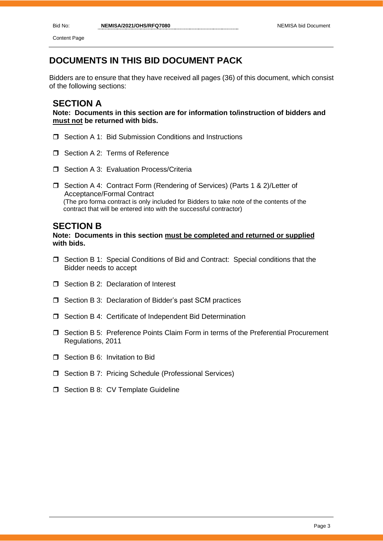Content Page

# **DOCUMENTS IN THIS BID DOCUMENT PACK**

Bidders are to ensure that they have received all pages (36) of this document, which consist of the following sections:

# **SECTION A**

**Note: Documents in this section are for information to/instruction of bidders and must not be returned with bids.**

- □ Section A 1: Bid Submission Conditions and Instructions
- Section A 2: Terms of Reference
- □ Section A 3: Evaluation Process/Criteria
- □ Section A 4: Contract Form (Rendering of Services) (Parts 1 & 2)/Letter of Acceptance/Formal Contract (The pro forma contract is only included for Bidders to take note of the contents of the contract that will be entered into with the successful contractor)

# **SECTION B**

### **Note: Documents in this section must be completed and returned or supplied with bids.**

- $\Box$  Section B 1: Special Conditions of Bid and Contract: Special conditions that the Bidder needs to accept
- $\Box$  Section B 2: Declaration of Interest
- □ Section B 3: Declaration of Bidder's past SCM practices
- □ Section B 4: Certificate of Independent Bid Determination
- Section B 5: Preference Points Claim Form in terms of the Preferential Procurement Regulations, 2011
- □ Section B 6: Invitation to Bid
- □ Section B 7: Pricing Schedule (Professional Services)
- $\Box$  Section B 8: CV Template Guideline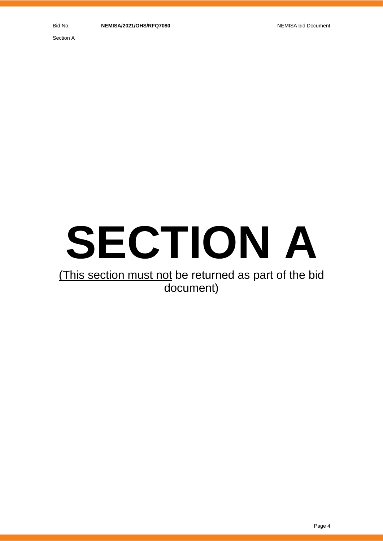Section A

# **SECTION A**

# (This section must not be returned as part of the bid document)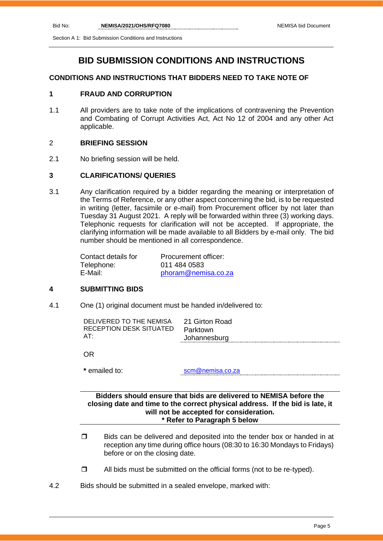Section A 1: Bid Submission Conditions and Instructions

# **BID SUBMISSION CONDITIONS AND INSTRUCTIONS**

# **CONDITIONS AND INSTRUCTIONS THAT BIDDERS NEED TO TAKE NOTE OF**

# **1 FRAUD AND CORRUPTION**

1.1 All providers are to take note of the implications of contravening the Prevention and Combating of Corrupt Activities Act, Act No 12 of 2004 and any other Act applicable.

### 2 **BRIEFING SESSION**

2.1 No briefing session will be held.

### **3 CLARIFICATIONS/ QUERIES**

3.1 Any clarification required by a bidder regarding the meaning or interpretation of the Terms of Reference, or any other aspect concerning the bid, is to be requested in writing (letter, facsimile or e-mail) from Procurement officer by not later than Tuesday 31 August 2021. A reply will be forwarded within three (3) working days. Telephonic requests for clarification will not be accepted. If appropriate, the clarifying information will be made available to all Bidders by e-mail only. The bid number should be mentioned in all correspondence.

| Contact details for | Procurement officer: |
|---------------------|----------------------|
| Telephone:          | 011 484 0583         |
| E-Mail:             | phoram@nemisa.co.za  |

### **4 SUBMITTING BIDS**

4.1 One (1) original document must be handed in/delivered to:

| DELIVERED TO THE NEMISA | 21 Girton Road |
|-------------------------|----------------|
| RECEPTION DESK SITUATED | Parktown       |
| AT:                     | Johannesburg   |
|                         |                |

OR

**\*** emailed to: [scm@nemisa.co.za](mailto:scm@nemisa.co.za)

### **Bidders should ensure that bids are delivered to NEMISA before the closing date and time to the correct physical address. If the bid is late, it will not be accepted for consideration. \* Refer to Paragraph 5 below**

- $\Box$  Bids can be delivered and deposited into the tender box or handed in at reception any time during office hours (08:30 to 16:30 Mondays to Fridays) before or on the closing date.
- $\Box$  All bids must be submitted on the official forms (not to be re-typed).
- 4.2 Bids should be submitted in a sealed envelope, marked with: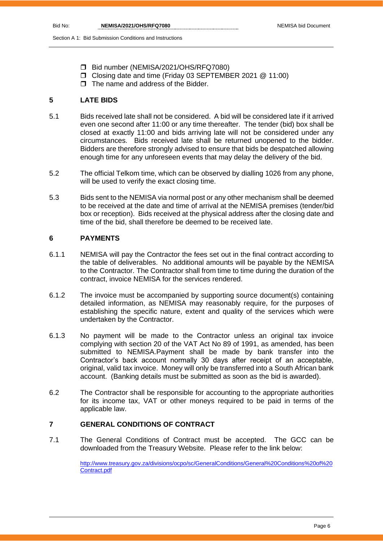Section A 1: Bid Submission Conditions and Instructions

- Bid number (NEMISA/2021/OHS/RFQ7080)
- Closing date and time (Friday 03 SEPTEMBER 2021 @ 11:00)
- $\Box$  The name and address of the Bidder.

# **5 LATE BIDS**

- 5.1 Bids received late shall not be considered. A bid will be considered late if it arrived even one second after 11:00 or any time thereafter. The tender (bid) box shall be closed at exactly 11:00 and bids arriving late will not be considered under any circumstances. Bids received late shall be returned unopened to the bidder. Bidders are therefore strongly advised to ensure that bids be despatched allowing enough time for any unforeseen events that may delay the delivery of the bid.
- 5.2 The official Telkom time, which can be observed by dialling 1026 from any phone, will be used to verify the exact closing time.
- 5.3 Bids sent to the NEMISA via normal post or any other mechanism shall be deemed to be received at the date and time of arrival at the NEMISA premises (tender/bid box or reception). Bids received at the physical address after the closing date and time of the bid, shall therefore be deemed to be received late.

# **6 PAYMENTS**

- 6.1.1 NEMISA will pay the Contractor the fees set out in the final contract according to the table of deliverables. No additional amounts will be payable by the NEMISA to the Contractor. The Contractor shall from time to time during the duration of the contract, invoice NEMISA for the services rendered.
- 6.1.2 The invoice must be accompanied by supporting source document(s) containing detailed information, as NEMISA may reasonably require, for the purposes of establishing the specific nature, extent and quality of the services which were undertaken by the Contractor.
- 6.1.3 No payment will be made to the Contractor unless an original tax invoice complying with section 20 of the VAT Act No 89 of 1991, as amended, has been submitted to NEMISA.Payment shall be made by bank transfer into the Contractor's back account normally 30 days after receipt of an acceptable, original, valid tax invoice. Money will only be transferred into a South African bank account. (Banking details must be submitted as soon as the bid is awarded).
- 6.2 The Contractor shall be responsible for accounting to the appropriate authorities for its income tax, VAT or other moneys required to be paid in terms of the applicable law.

### **7 GENERAL CONDITIONS OF CONTRACT**

7.1 The General Conditions of Contract must be accepted. The GCC can be downloaded from the Treasury Website. Please refer to the link below:

> [http://www.treasury.gov.za/divisions/ocpo/sc/GeneralConditions/General%20Conditions%20of%20](http://www.treasury.gov.za/divisions/ocpo/sc/GeneralConditions/General%20Conditions%20of%20Contract.pdf) [Contract.pdf](http://www.treasury.gov.za/divisions/ocpo/sc/GeneralConditions/General%20Conditions%20of%20Contract.pdf)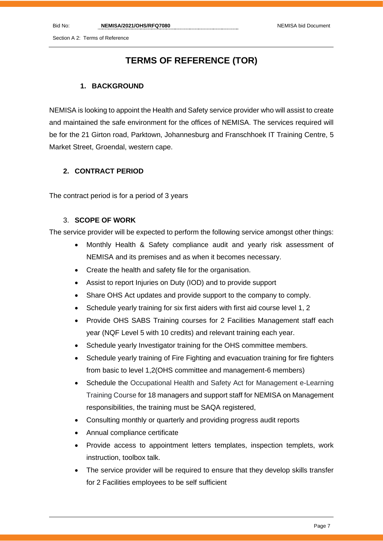Section A 2: Terms of Reference

# **TERMS OF REFERENCE (TOR)**

# **1. BACKGROUND**

NEMISA is looking to appoint the Health and Safety service provider who will assist to create and maintained the safe environment for the offices of NEMISA. The services required will be for the 21 Girton road, Parktown, Johannesburg and Franschhoek IT Training Centre, 5 Market Street, Groendal, western cape.

# **2. CONTRACT PERIOD**

The contract period is for a period of 3 years

# 3. **SCOPE OF WORK**

The service provider will be expected to perform the following service amongst other things:

- Monthly Health & Safety compliance audit and yearly risk assessment of NEMISA and its premises and as when it becomes necessary.
- Create the health and safety file for the organisation.
- Assist to report Injuries on Duty (IOD) and to provide support
- Share OHS Act updates and provide support to the company to comply.
- Schedule yearly training for six first aiders with first aid course level 1, 2
- Provide OHS SABS Training courses for 2 Facilities Management staff each year (NQF Level 5 with 10 credits) and relevant training each year.
- Schedule yearly Investigator training for the OHS committee members.
- Schedule yearly training of Fire Fighting and evacuation training for fire fighters from basic to level 1,2(OHS committee and management-6 members)
- Schedule the Occupational Health and Safety Act for Management e-Learning Training Course for 18 managers and support staff for NEMISA on Management responsibilities, the training must be SAQA registered,
- Consulting monthly or quarterly and providing progress audit reports
- Annual compliance certificate
- Provide access to appointment letters templates, inspection templets, work instruction, toolbox talk.
- The service provider will be required to ensure that they develop skills transfer for 2 Facilities employees to be self sufficient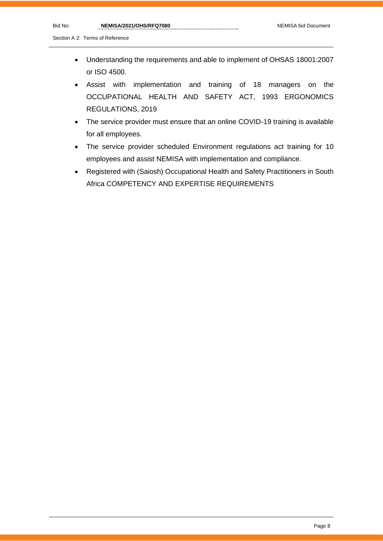Section A 2: Terms of Reference

- Understanding the requirements and able to implement of OHSAS 18001:2007 or ISO 4500.
- Assist with implementation and training of 18 managers on the OCCUPATIONAL HEALTH AND SAFETY ACT, 1993 ERGONOMICS REGULATIONS, 2019
- The service provider must ensure that an online COVID-19 training is available for all employees.
- The service provider scheduled Environment regulations act training for 10 employees and assist NEMISA with implementation and compliance.
- Registered with (Saiosh) Occupational Health and Safety Practitioners in South Africa COMPETENCY AND EXPERTISE REQUIREMENTS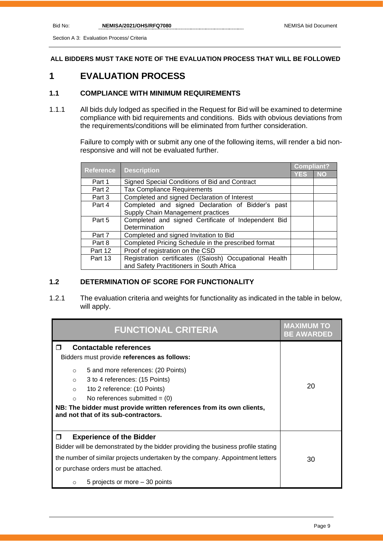**ALL BIDDERS MUST TAKE NOTE OF THE EVALUATION PROCESS THAT WILL BE FOLLOWED**

# **1 EVALUATION PROCESS**

# **1.1 COMPLIANCE WITH MINIMUM REQUIREMENTS**

1.1.1 All bids duly lodged as specified in the Request for Bid will be examined to determine compliance with bid requirements and conditions. Bids with obvious deviations from the requirements/conditions will be eliminated from further consideration.

> Failure to comply with or submit any one of the following items, will render a bid nonresponsive and will not be evaluated further.

| Reference | <b>Description</b>                                      | <b>Compliant?</b> |     |
|-----------|---------------------------------------------------------|-------------------|-----|
|           |                                                         | YES               | NO. |
| Part 1    | Signed Special Conditions of Bid and Contract           |                   |     |
| Part 2    | <b>Tax Compliance Requirements</b>                      |                   |     |
| Part 3    | Completed and signed Declaration of Interest            |                   |     |
| Part 4    | Completed and signed Declaration of Bidder's past       |                   |     |
|           | Supply Chain Management practices                       |                   |     |
| Part 5    | Completed and signed Certificate of Independent Bid     |                   |     |
|           | Determination                                           |                   |     |
| Part 7    | Completed and signed Invitation to Bid                  |                   |     |
| Part 8    | Completed Pricing Schedule in the prescribed format     |                   |     |
| Part 12   | Proof of registration on the CSD                        |                   |     |
| Part 13   | Registration certificates ((Saiosh) Occupational Health |                   |     |
|           | and Safety Practitioners in South Africa                |                   |     |

# **1.2 DETERMINATION OF SCORE FOR FUNCTIONALITY**

1.2.1 The evaluation criteria and weights for functionality as indicated in the table in below, will apply.

| <b>FUNCTIONAL CRITERIA</b>                                                                                                                                                                                                                                                                                                                                                                 | <b>MAXIMUM TO</b><br><b>BE AWARDED</b> |
|--------------------------------------------------------------------------------------------------------------------------------------------------------------------------------------------------------------------------------------------------------------------------------------------------------------------------------------------------------------------------------------------|----------------------------------------|
| <b>Contactable references</b><br>┒<br>Bidders must provide references as follows:<br>5 and more references: (20 Points)<br>$\circ$<br>3 to 4 references: (15 Points)<br>$\circ$<br>1to 2 reference: (10 Points)<br>$\Omega$<br>No references submitted $= (0)$<br>$\Omega$<br>NB: The bidder must provide written references from its own clients,<br>and not that of its sub-contractors. | 20                                     |
| <b>Experience of the Bidder</b><br>$\Box$<br>Bidder will be demonstrated by the bidder providing the business profile stating<br>the number of similar projects undertaken by the company. Appointment letters<br>or purchase orders must be attached.<br>5 projects or more – 30 points<br>$\circ$                                                                                        | 30                                     |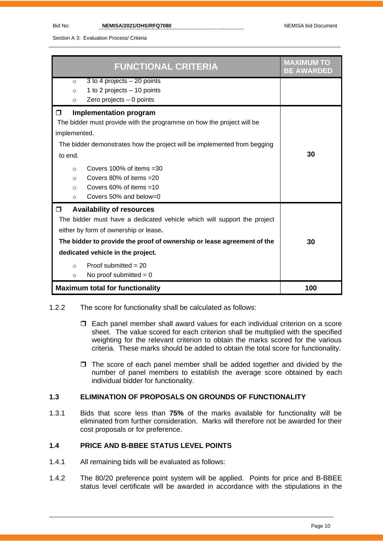Section A 3: Evaluation Process/ Criteria

| <b>FUNCTIONAL CRITERIA</b>                                                                                                                                                                                                                                                                                                                                                                 | <b>MAXIMUM TO</b><br><b>BE AWARDED</b> |
|--------------------------------------------------------------------------------------------------------------------------------------------------------------------------------------------------------------------------------------------------------------------------------------------------------------------------------------------------------------------------------------------|----------------------------------------|
| 3 to 4 projects $-20$ points<br>$\circ$<br>1 to 2 projects - 10 points<br>$\circ$                                                                                                                                                                                                                                                                                                          |                                        |
| Zero projects $-0$ points<br>$\circ$                                                                                                                                                                                                                                                                                                                                                       |                                        |
| <b>Implementation program</b><br>□<br>The bidder must provide with the programme on how the project will be<br>implemented.<br>The bidder demonstrates how the project will be implemented from begging<br>to end.<br>Covers $100\%$ of items $=30$<br>$\Omega$<br>Covers $80\%$ of items $=20$<br>$\circ$<br>Covers $60\%$ of items $=10$<br>$\circ$<br>Covers 50% and below=0<br>$\circ$ | 30                                     |
| <b>Availability of resources</b><br>⊓<br>The bidder must have a dedicated vehicle which will support the project<br>either by form of ownership or lease.<br>The bidder to provide the proof of ownership or lease agreement of the<br>dedicated vehicle in the project.<br>Proof submitted $= 20$<br>$\circ$<br>No proof submitted $= 0$<br>O                                             | 30                                     |
| <b>Maximum total for functionality</b>                                                                                                                                                                                                                                                                                                                                                     | 100                                    |

- 1.2.2 The score for functionality shall be calculated as follows:
	- Each panel member shall award values for each individual criterion on a score sheet. The value scored for each criterion shall be multiplied with the specified weighting for the relevant criterion to obtain the marks scored for the various criteria. These marks should be added to obtain the total score for functionality.
	- $\Box$  The score of each panel member shall be added together and divided by the number of panel members to establish the average score obtained by each individual bidder for functionality.

# **1.3 ELIMINATION OF PROPOSALS ON GROUNDS OF FUNCTIONALITY**

1.3.1 Bids that score less than **75%** of the marks available for functionality will be eliminated from further consideration. Marks will therefore not be awarded for their cost proposals or for preference.

### **1.4 PRICE AND B-BBEE STATUS LEVEL POINTS**

- 1.4.1 All remaining bids will be evaluated as follows:
- 1.4.2 The 80/20 preference point system will be applied. Points for price and B-BBEE status level certificate will be awarded in accordance with the stipulations in the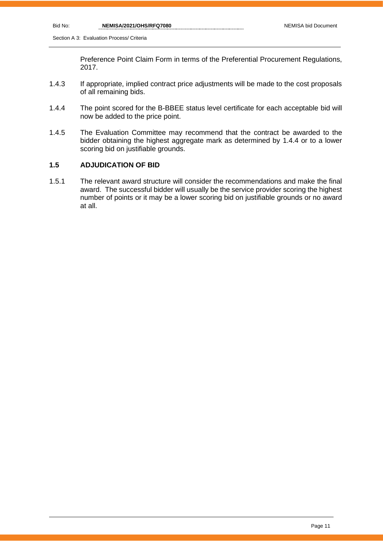Preference Point Claim Form in terms of the Preferential Procurement Regulations, 2017.

- 1.4.3 If appropriate, implied contract price adjustments will be made to the cost proposals of all remaining bids.
- 1.4.4 The point scored for the B-BBEE status level certificate for each acceptable bid will now be added to the price point.
- 1.4.5 The Evaluation Committee may recommend that the contract be awarded to the bidder obtaining the highest aggregate mark as determined by 1.4.4 or to a lower scoring bid on justifiable grounds.

# **1.5 ADJUDICATION OF BID**

1.5.1 The relevant award structure will consider the recommendations and make the final award. The successful bidder will usually be the service provider scoring the highest number of points or it may be a lower scoring bid on justifiable grounds or no award at all.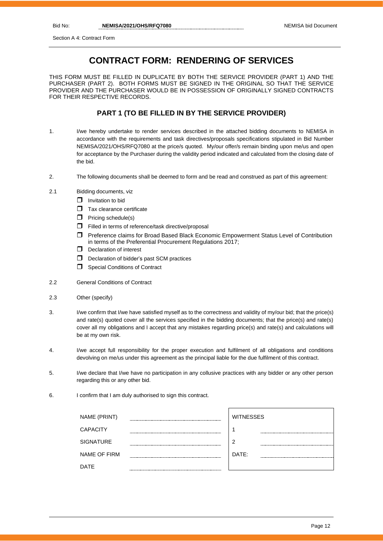# **CONTRACT FORM: RENDERING OF SERVICES**

THIS FORM MUST BE FILLED IN DUPLICATE BY BOTH THE SERVICE PROVIDER (PART 1) AND THE PURCHASER (PART 2). BOTH FORMS MUST BE SIGNED IN THE ORIGINAL SO THAT THE SERVICE PROVIDER AND THE PURCHASER WOULD BE IN POSSESSION OF ORIGINALLY SIGNED CONTRACTS FOR THEIR RESPECTIVE RECORDS.

### **PART 1 (TO BE FILLED IN BY THE SERVICE PROVIDER)**

- 1. I/we hereby undertake to render services described in the attached bidding documents to NEMISA in accordance with the requirements and task directives/proposals specifications stipulated in Bid Number NEMISA/2021/OHS/RFQ7080 at the price/s quoted. My/our offer/s remain binding upon me/us and open for acceptance by the Purchaser during the validity period indicated and calculated from the closing date of the bid.
- 2. The following documents shall be deemed to form and be read and construed as part of this agreement:
- 2.1 Bidding documents, viz
	- $\Box$  Invitation to bid
	- $\Box$  Tax clearance certificate
	- $\Box$  Pricing schedule(s)
	- $\Box$  Filled in terms of reference/task directive/proposal
	- Preference claims for Broad Based Black Economic Empowerment Status Level of Contribution in terms of the Preferential Procurement Regulations 2017;
	- D Declaration of interest
	- D Declaration of bidder's past SCM practices
	- **Special Conditions of Contract**
- 2.2 General Conditions of Contract
- 2.3 Other (specify)
- 3. I/we confirm that I/we have satisfied myself as to the correctness and validity of my/our bid; that the price(s) and rate(s) quoted cover all the services specified in the bidding documents; that the price(s) and rate(s) cover all my obligations and I accept that any mistakes regarding price(s) and rate(s) and calculations will be at my own risk.
- 4. I/we accept full responsibility for the proper execution and fulfilment of all obligations and conditions devolving on me/us under this agreement as the principal liable for the due fulfilment of this contract.
- 5. I/we declare that I/we have no participation in any collusive practices with any bidder or any other person regarding this or any other bid.
- 6. I confirm that I am duly authorised to sign this contract.

| NAME (PRINT)        |        | <b>WITNESSES</b> |
|---------------------|--------|------------------|
| <b>CAPACITY</b>     |        |                  |
| <b>SIGNATURE</b>    | ------ | 2                |
| <b>NAME OF FIRM</b> |        | DATE:            |
| DATE                |        |                  |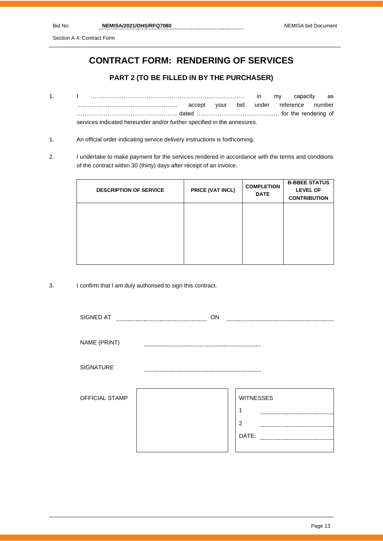Section A 4: Contract Form

# **CONTRACT FORM: RENDERING OF SERVICES**

# **PART 2 (TO BE FILLED IN BY THE PURCHASER)**

- 1. I ……………………………………………………..……………… in my capacity as …………………………………………….. accept your bid under reference number ……………………………………………. dated ……………………………………. for the rendering of services indicated hereunder and/or further specified in the annexures.
- 1. An official order indicating service delivery instructions is forthcoming.
- 2. I undertake to make payment for the services rendered in accordance with the terms and conditions of the contract within 30 (thirty) days after receipt of an invoice.

| <b>DESCRIPTION OF SERVICE</b> | PRICE (VAT INCL) | <b>COMPLETION</b><br><b>DATE</b> | <b>B-BBEE STATUS</b><br><b>LEVEL OF</b><br><b>CONTRIBUTION</b> |
|-------------------------------|------------------|----------------------------------|----------------------------------------------------------------|
|                               |                  |                                  |                                                                |
|                               |                  |                                  |                                                                |
|                               |                  |                                  |                                                                |

3. I confirm that I am duly authorised to sign this contract.

| SIGNED AT      | ON |                       |
|----------------|----|-----------------------|
|                |    |                       |
| NAME (PRINT)   |    |                       |
| SIGNATURE      |    |                       |
| OFFICIAL STAMP |    | <b>WITNESSES</b><br>◢ |
|                |    | $\overline{2}$        |
|                |    | DATE:                 |
|                |    |                       |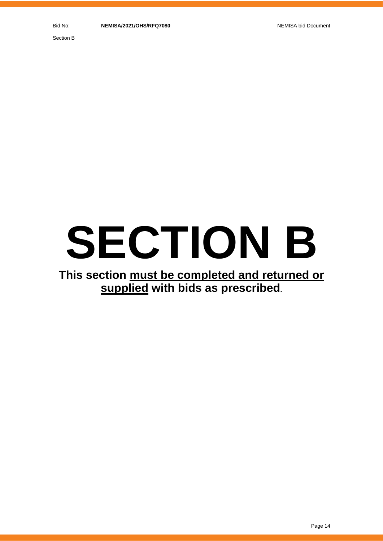Section B

# **SECTION B**

# **This section must be completed and returned or supplied with bids as prescribed.**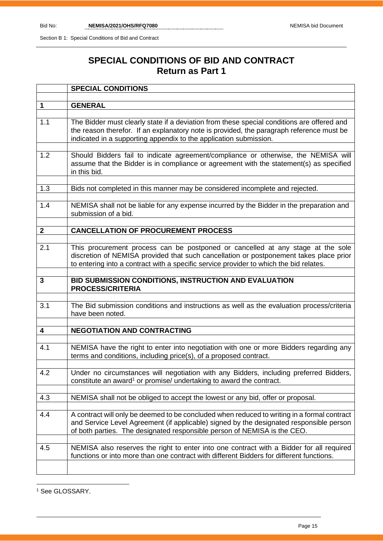Section B 1: Special Conditions of Bid and Contract

# **SPECIAL CONDITIONS OF BID AND CONTRACT Return as Part 1**

|              | <b>SPECIAL CONDITIONS</b>                                                                                                                                                                                                                                           |
|--------------|---------------------------------------------------------------------------------------------------------------------------------------------------------------------------------------------------------------------------------------------------------------------|
|              |                                                                                                                                                                                                                                                                     |
| $\mathbf 1$  | <b>GENERAL</b>                                                                                                                                                                                                                                                      |
| 1.1          | The Bidder must clearly state if a deviation from these special conditions are offered and<br>the reason therefor. If an explanatory note is provided, the paragraph reference must be<br>indicated in a supporting appendix to the application submission.         |
| 1.2          | Should Bidders fail to indicate agreement/compliance or otherwise, the NEMISA will<br>assume that the Bidder is in compliance or agreement with the statement(s) as specified<br>in this bid.                                                                       |
| 1.3          | Bids not completed in this manner may be considered incomplete and rejected.                                                                                                                                                                                        |
| 1.4          | NEMISA shall not be liable for any expense incurred by the Bidder in the preparation and<br>submission of a bid.                                                                                                                                                    |
| $\mathbf{2}$ | <b>CANCELLATION OF PROCUREMENT PROCESS</b>                                                                                                                                                                                                                          |
|              |                                                                                                                                                                                                                                                                     |
| 2.1          | This procurement process can be postponed or cancelled at any stage at the sole<br>discretion of NEMISA provided that such cancellation or postponement takes place prior<br>to entering into a contract with a specific service provider to which the bid relates. |
| 3            | BID SUBMISSION CONDITIONS, INSTRUCTION AND EVALUATION<br><b>PROCESS/CRITERIA</b>                                                                                                                                                                                    |
|              |                                                                                                                                                                                                                                                                     |
| 3.1          | The Bid submission conditions and instructions as well as the evaluation process/criteria<br>have been noted.                                                                                                                                                       |
| 4            | <b>NEGOTIATION AND CONTRACTING</b>                                                                                                                                                                                                                                  |
|              |                                                                                                                                                                                                                                                                     |
| 4.1          | NEMISA have the right to enter into negotiation with one or more Bidders regarding any<br>terms and conditions, including price(s), of a proposed contract.                                                                                                         |
| 4.2          | Under no circumstances will negotiation with any Bidders, including preferred Bidders,<br>constitute an award <sup>1</sup> or promise/ undertaking to award the contract.                                                                                           |
| 4.3          | NEMISA shall not be obliged to accept the lowest or any bid, offer or proposal.                                                                                                                                                                                     |
|              |                                                                                                                                                                                                                                                                     |
| 4.4          | A contract will only be deemed to be concluded when reduced to writing in a formal contract<br>and Service Level Agreement (if applicable) signed by the designated responsible person<br>of both parties. The designated responsible person of NEMISA is the CEO.  |
| 4.5          | NEMISA also reserves the right to enter into one contract with a Bidder for all required<br>functions or into more than one contract with different Bidders for different functions.                                                                                |
|              |                                                                                                                                                                                                                                                                     |

<sup>1</sup> See GLOSSARY.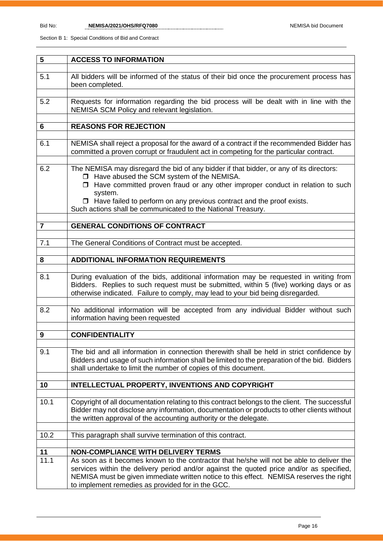| 5                       | <b>ACCESS TO INFORMATION</b>                                                                                                                                                                                                                                                                                                          |
|-------------------------|---------------------------------------------------------------------------------------------------------------------------------------------------------------------------------------------------------------------------------------------------------------------------------------------------------------------------------------|
|                         |                                                                                                                                                                                                                                                                                                                                       |
| 5.1                     | All bidders will be informed of the status of their bid once the procurement process has<br>been completed.                                                                                                                                                                                                                           |
|                         |                                                                                                                                                                                                                                                                                                                                       |
| 5.2                     | Requests for information regarding the bid process will be dealt with in line with the<br>NEMISA SCM Policy and relevant legislation.                                                                                                                                                                                                 |
|                         |                                                                                                                                                                                                                                                                                                                                       |
| 6                       | <b>REASONS FOR REJECTION</b>                                                                                                                                                                                                                                                                                                          |
| 6.1                     |                                                                                                                                                                                                                                                                                                                                       |
|                         | NEMISA shall reject a proposal for the award of a contract if the recommended Bidder has<br>committed a proven corrupt or fraudulent act in competing for the particular contract.                                                                                                                                                    |
|                         |                                                                                                                                                                                                                                                                                                                                       |
| 6.2                     | The NEMISA may disregard the bid of any bidder if that bidder, or any of its directors:<br>□ Have abused the SCM system of the NEMISA.<br>$\Box$ Have committed proven fraud or any other improper conduct in relation to such                                                                                                        |
|                         | system.<br>$\Box$ Have failed to perform on any previous contract and the proof exists.<br>Such actions shall be communicated to the National Treasury.                                                                                                                                                                               |
|                         |                                                                                                                                                                                                                                                                                                                                       |
| $\overline{\mathbf{r}}$ | <b>GENERAL CONDITIONS OF CONTRACT</b>                                                                                                                                                                                                                                                                                                 |
|                         |                                                                                                                                                                                                                                                                                                                                       |
| 7.1                     | The General Conditions of Contract must be accepted.                                                                                                                                                                                                                                                                                  |
| 8                       | <b>ADDITIONAL INFORMATION REQUIREMENTS</b>                                                                                                                                                                                                                                                                                            |
|                         |                                                                                                                                                                                                                                                                                                                                       |
| 8.1                     | During evaluation of the bids, additional information may be requested in writing from<br>Bidders. Replies to such request must be submitted, within 5 (five) working days or as<br>otherwise indicated. Failure to comply, may lead to your bid being disregarded.                                                                   |
|                         |                                                                                                                                                                                                                                                                                                                                       |
| 8.2                     | No additional information will be accepted from any individual Bidder without such<br>information having been requested                                                                                                                                                                                                               |
|                         |                                                                                                                                                                                                                                                                                                                                       |
| $\boldsymbol{9}$        | <b>CONFIDENTIALITY</b>                                                                                                                                                                                                                                                                                                                |
| 9.1                     | The bid and all information in connection therewith shall be held in strict confidence by<br>Bidders and usage of such information shall be limited to the preparation of the bid. Bidders<br>shall undertake to limit the number of copies of this document.                                                                         |
| 10                      | <b>INTELLECTUAL PROPERTY, INVENTIONS AND COPYRIGHT</b>                                                                                                                                                                                                                                                                                |
|                         |                                                                                                                                                                                                                                                                                                                                       |
| 10.1                    | Copyright of all documentation relating to this contract belongs to the client. The successful<br>Bidder may not disclose any information, documentation or products to other clients without<br>the written approval of the accounting authority or the delegate.                                                                    |
| 10.2                    | This paragraph shall survive termination of this contract.                                                                                                                                                                                                                                                                            |
|                         |                                                                                                                                                                                                                                                                                                                                       |
| 11                      | <b>NON-COMPLIANCE WITH DELIVERY TERMS</b>                                                                                                                                                                                                                                                                                             |
| 11.1                    | As soon as it becomes known to the contractor that he/she will not be able to deliver the<br>services within the delivery period and/or against the quoted price and/or as specified,<br>NEMISA must be given immediate written notice to this effect. NEMISA reserves the right<br>to implement remedies as provided for in the GCC. |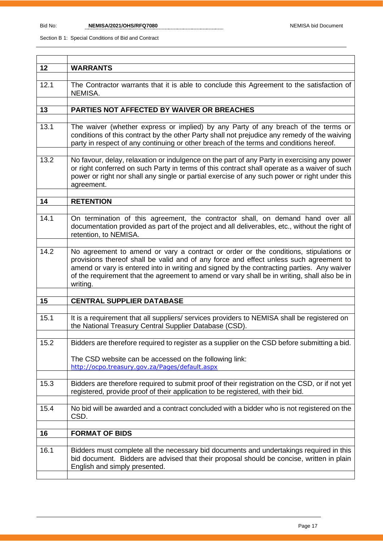۰

Í

| 12   | <b>WARRANTS</b>                                                                                                                                                                                                                                                                                                                                                                          |
|------|------------------------------------------------------------------------------------------------------------------------------------------------------------------------------------------------------------------------------------------------------------------------------------------------------------------------------------------------------------------------------------------|
| 12.1 | The Contractor warrants that it is able to conclude this Agreement to the satisfaction of                                                                                                                                                                                                                                                                                                |
|      | NEMISA.                                                                                                                                                                                                                                                                                                                                                                                  |
|      |                                                                                                                                                                                                                                                                                                                                                                                          |
| 13   | PARTIES NOT AFFECTED BY WAIVER OR BREACHES                                                                                                                                                                                                                                                                                                                                               |
|      |                                                                                                                                                                                                                                                                                                                                                                                          |
| 13.1 | The waiver (whether express or implied) by any Party of any breach of the terms or<br>conditions of this contract by the other Party shall not prejudice any remedy of the waiving<br>party in respect of any continuing or other breach of the terms and conditions hereof.                                                                                                             |
| 13.2 | No favour, delay, relaxation or indulgence on the part of any Party in exercising any power<br>or right conferred on such Party in terms of this contract shall operate as a waiver of such<br>power or right nor shall any single or partial exercise of any such power or right under this                                                                                             |
|      | agreement.                                                                                                                                                                                                                                                                                                                                                                               |
|      |                                                                                                                                                                                                                                                                                                                                                                                          |
| 14   | <b>RETENTION</b>                                                                                                                                                                                                                                                                                                                                                                         |
|      |                                                                                                                                                                                                                                                                                                                                                                                          |
| 14.1 | On termination of this agreement, the contractor shall, on demand hand over all<br>documentation provided as part of the project and all deliverables, etc., without the right of<br>retention, to NEMISA.                                                                                                                                                                               |
|      |                                                                                                                                                                                                                                                                                                                                                                                          |
| 14.2 | No agreement to amend or vary a contract or order or the conditions, stipulations or<br>provisions thereof shall be valid and of any force and effect unless such agreement to<br>amend or vary is entered into in writing and signed by the contracting parties. Any waiver<br>of the requirement that the agreement to amend or vary shall be in writing, shall also be in<br>writing. |
|      |                                                                                                                                                                                                                                                                                                                                                                                          |
| 15   | <b>CENTRAL SUPPLIER DATABASE</b>                                                                                                                                                                                                                                                                                                                                                         |
|      |                                                                                                                                                                                                                                                                                                                                                                                          |
| 15.1 | It is a requirement that all suppliers/services providers to NEMISA shall be registered on<br>the National Treasury Central Supplier Database (CSD).                                                                                                                                                                                                                                     |
| 15.2 | Bidders are therefore required to register as a supplier on the CSD before submitting a bid.                                                                                                                                                                                                                                                                                             |
|      |                                                                                                                                                                                                                                                                                                                                                                                          |
|      | The CSD website can be accessed on the following link:                                                                                                                                                                                                                                                                                                                                   |
|      | http://ocpo.treasury.gov.za/Pages/default.aspx                                                                                                                                                                                                                                                                                                                                           |
|      |                                                                                                                                                                                                                                                                                                                                                                                          |
| 15.3 | Bidders are therefore required to submit proof of their registration on the CSD, or if not yet                                                                                                                                                                                                                                                                                           |
|      | registered, provide proof of their application to be registered, with their bid.                                                                                                                                                                                                                                                                                                         |
|      |                                                                                                                                                                                                                                                                                                                                                                                          |
| 15.4 | No bid will be awarded and a contract concluded with a bidder who is not registered on the<br>CSD.                                                                                                                                                                                                                                                                                       |
|      |                                                                                                                                                                                                                                                                                                                                                                                          |
| 16   | <b>FORMAT OF BIDS</b>                                                                                                                                                                                                                                                                                                                                                                    |
|      |                                                                                                                                                                                                                                                                                                                                                                                          |
| 16.1 | Bidders must complete all the necessary bid documents and undertakings required in this<br>bid document. Bidders are advised that their proposal should be concise, written in plain<br>English and simply presented.                                                                                                                                                                    |
|      |                                                                                                                                                                                                                                                                                                                                                                                          |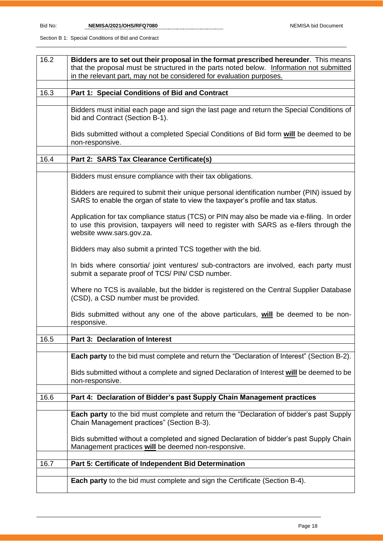Bid No: **NEMISA/2021/OHS/RFQ7080** NEMISA bid Document

| 16.2 | Bidders are to set out their proposal in the format prescribed hereunder. This means                                                                                                                               |  |  |
|------|--------------------------------------------------------------------------------------------------------------------------------------------------------------------------------------------------------------------|--|--|
|      | that the proposal must be structured in the parts noted below. Information not submitted<br>in the relevant part, may not be considered for evaluation purposes.                                                   |  |  |
|      |                                                                                                                                                                                                                    |  |  |
| 16.3 | Part 1: Special Conditions of Bid and Contract                                                                                                                                                                     |  |  |
|      |                                                                                                                                                                                                                    |  |  |
|      | Bidders must initial each page and sign the last page and return the Special Conditions of<br>bid and Contract (Section B-1).                                                                                      |  |  |
|      | Bids submitted without a completed Special Conditions of Bid form will be deemed to be<br>non-responsive.                                                                                                          |  |  |
| 16.4 | Part 2: SARS Tax Clearance Certificate(s)                                                                                                                                                                          |  |  |
|      |                                                                                                                                                                                                                    |  |  |
|      | Bidders must ensure compliance with their tax obligations.                                                                                                                                                         |  |  |
|      | Bidders are required to submit their unique personal identification number (PIN) issued by<br>SARS to enable the organ of state to view the taxpayer's profile and tax status.                                     |  |  |
|      | Application for tax compliance status (TCS) or PIN may also be made via e-filing. In order<br>to use this provision, taxpayers will need to register with SARS as e-filers through the<br>website www.sars.gov.za. |  |  |
|      | Bidders may also submit a printed TCS together with the bid.                                                                                                                                                       |  |  |
|      | In bids where consortia/ joint ventures/ sub-contractors are involved, each party must<br>submit a separate proof of TCS/ PIN/ CSD number.                                                                         |  |  |
|      | Where no TCS is available, but the bidder is registered on the Central Supplier Database<br>(CSD), a CSD number must be provided.                                                                                  |  |  |
|      | Bids submitted without any one of the above particulars, will be deemed to be non-<br>responsive.                                                                                                                  |  |  |
| 16.5 | Part 3: Declaration of Interest                                                                                                                                                                                    |  |  |
|      |                                                                                                                                                                                                                    |  |  |
|      | Each party to the bid must complete and return the "Declaration of Interest" (Section B-2).                                                                                                                        |  |  |
|      | Bids submitted without a complete and signed Declaration of Interest will be deemed to be<br>non-responsive.                                                                                                       |  |  |
| 16.6 | Part 4: Declaration of Bidder's past Supply Chain Management practices                                                                                                                                             |  |  |
|      |                                                                                                                                                                                                                    |  |  |
|      | <b>Each party</b> to the bid must complete and return the "Declaration of bidder's past Supply<br>Chain Management practices" (Section B-3).                                                                       |  |  |
|      | Bids submitted without a completed and signed Declaration of bidder's past Supply Chain<br>Management practices will be deemed non-responsive.                                                                     |  |  |
| 16.7 | Part 5: Certificate of Independent Bid Determination                                                                                                                                                               |  |  |
|      |                                                                                                                                                                                                                    |  |  |
|      | <b>Each party</b> to the bid must complete and sign the Certificate (Section B-4).                                                                                                                                 |  |  |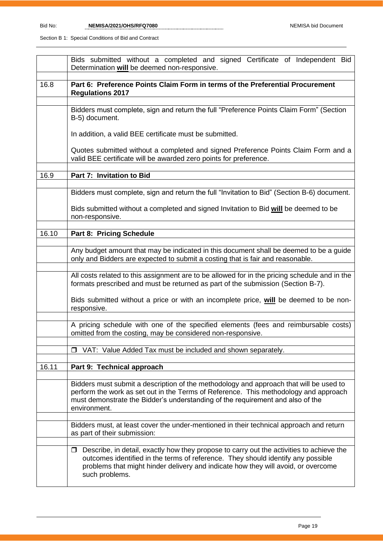|       | Bids submitted without a completed and signed Certificate of Independent Bid<br>Determination will be deemed non-responsive.                                                                                                                                                               |  |  |  |  |
|-------|--------------------------------------------------------------------------------------------------------------------------------------------------------------------------------------------------------------------------------------------------------------------------------------------|--|--|--|--|
| 16.8  | Part 6: Preference Points Claim Form in terms of the Preferential Procurement<br><b>Regulations 2017</b>                                                                                                                                                                                   |  |  |  |  |
|       | Bidders must complete, sign and return the full "Preference Points Claim Form" (Section<br>B-5) document.                                                                                                                                                                                  |  |  |  |  |
|       | In addition, a valid BEE certificate must be submitted.                                                                                                                                                                                                                                    |  |  |  |  |
|       | Quotes submitted without a completed and signed Preference Points Claim Form and a<br>valid BEE certificate will be awarded zero points for preference.                                                                                                                                    |  |  |  |  |
| 16.9  | Part 7: Invitation to Bid                                                                                                                                                                                                                                                                  |  |  |  |  |
|       | Bidders must complete, sign and return the full "Invitation to Bid" (Section B-6) document.                                                                                                                                                                                                |  |  |  |  |
|       | Bids submitted without a completed and signed Invitation to Bid will be deemed to be<br>non-responsive.                                                                                                                                                                                    |  |  |  |  |
| 16.10 | Part 8: Pricing Schedule                                                                                                                                                                                                                                                                   |  |  |  |  |
|       |                                                                                                                                                                                                                                                                                            |  |  |  |  |
|       | Any budget amount that may be indicated in this document shall be deemed to be a guide<br>only and Bidders are expected to submit a costing that is fair and reasonable.                                                                                                                   |  |  |  |  |
|       | All costs related to this assignment are to be allowed for in the pricing schedule and in the<br>formats prescribed and must be returned as part of the submission (Section B-7).                                                                                                          |  |  |  |  |
|       | Bids submitted without a price or with an incomplete price, will be deemed to be non-<br>responsive.                                                                                                                                                                                       |  |  |  |  |
|       | A pricing schedule with one of the specified elements (fees and reimbursable costs)<br>omitted from the costing, may be considered non-responsive.                                                                                                                                         |  |  |  |  |
|       | VAT: Value Added Tax must be included and shown separately.<br>□                                                                                                                                                                                                                           |  |  |  |  |
|       |                                                                                                                                                                                                                                                                                            |  |  |  |  |
| 16.11 | Part 9: Technical approach                                                                                                                                                                                                                                                                 |  |  |  |  |
|       | Bidders must submit a description of the methodology and approach that will be used to<br>perform the work as set out in the Terms of Reference. This methodology and approach<br>must demonstrate the Bidder's understanding of the requirement and also of the<br>environment.           |  |  |  |  |
|       | Bidders must, at least cover the under-mentioned in their technical approach and return<br>as part of their submission:                                                                                                                                                                    |  |  |  |  |
|       | $\Box$ Describe, in detail, exactly how they propose to carry out the activities to achieve the<br>outcomes identified in the terms of reference. They should identify any possible<br>problems that might hinder delivery and indicate how they will avoid, or overcome<br>such problems. |  |  |  |  |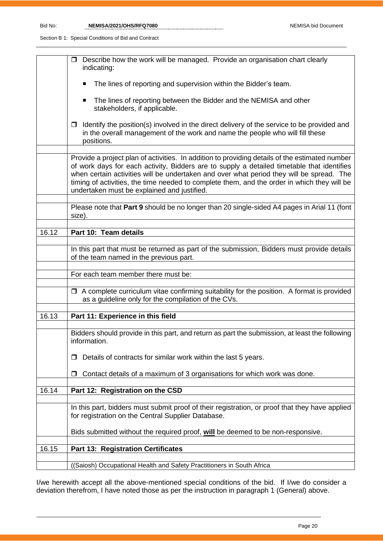Bid No: **NEMISA/2021/OHS/RFQ7080** NEMISA bid Document

Section B 1: Special Conditions of Bid and Contract

|       | $\Box$ Describe how the work will be managed. Provide an organisation chart clearly<br>indicating:                                                                                                                                                                                                                                                                                                                                     |
|-------|----------------------------------------------------------------------------------------------------------------------------------------------------------------------------------------------------------------------------------------------------------------------------------------------------------------------------------------------------------------------------------------------------------------------------------------|
|       | The lines of reporting and supervision within the Bidder's team.<br>п                                                                                                                                                                                                                                                                                                                                                                  |
|       | The lines of reporting between the Bidder and the NEMISA and other<br>stakeholders, if applicable.                                                                                                                                                                                                                                                                                                                                     |
|       | Identify the position(s) involved in the direct delivery of the service to be provided and<br>$\Box$<br>in the overall management of the work and name the people who will fill these<br>positions.                                                                                                                                                                                                                                    |
|       | Provide a project plan of activities. In addition to providing details of the estimated number<br>of work days for each activity, Bidders are to supply a detailed timetable that identifies<br>when certain activities will be undertaken and over what period they will be spread. The<br>timing of activities, the time needed to complete them, and the order in which they will be<br>undertaken must be explained and justified. |
|       | Please note that Part 9 should be no longer than 20 single-sided A4 pages in Arial 11 (font<br>size).                                                                                                                                                                                                                                                                                                                                  |
| 16.12 | Part 10: Team details                                                                                                                                                                                                                                                                                                                                                                                                                  |
|       | In this part that must be returned as part of the submission, Bidders must provide details<br>of the team named in the previous part.                                                                                                                                                                                                                                                                                                  |
|       | For each team member there must be:                                                                                                                                                                                                                                                                                                                                                                                                    |
|       | $\Box$ A complete curriculum vitae confirming suitability for the position. A format is provided<br>as a guideline only for the compilation of the CVs.                                                                                                                                                                                                                                                                                |
| 16.13 | Part 11: Experience in this field                                                                                                                                                                                                                                                                                                                                                                                                      |
|       | Bidders should provide in this part, and return as part the submission, at least the following<br>information.                                                                                                                                                                                                                                                                                                                         |
|       | Details of contracts for similar work within the last 5 years.<br>□                                                                                                                                                                                                                                                                                                                                                                    |
|       | Contact details of a maximum of 3 organisations for which work was done.<br>□                                                                                                                                                                                                                                                                                                                                                          |
| 16.14 | Part 12: Registration on the CSD                                                                                                                                                                                                                                                                                                                                                                                                       |
|       | In this part, bidders must submit proof of their registration, or proof that they have applied<br>for registration on the Central Supplier Database.                                                                                                                                                                                                                                                                                   |
|       | Bids submitted without the required proof, will be deemed to be non-responsive.                                                                                                                                                                                                                                                                                                                                                        |
| 16.15 | <b>Part 13: Registration Certificates</b>                                                                                                                                                                                                                                                                                                                                                                                              |
|       | ((Saiosh) Occupational Health and Safety Practitioners in South Africa                                                                                                                                                                                                                                                                                                                                                                 |

I/we herewith accept all the above-mentioned special conditions of the bid. If I/we do consider a deviation therefrom, I have noted those as per the instruction in paragraph 1 (General) above.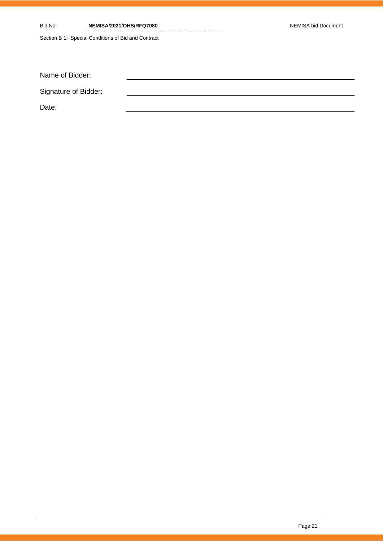| Bid No:              | NEMISA/2021/OHS/RFQ7080                             | NEMISA bid Document |
|----------------------|-----------------------------------------------------|---------------------|
|                      | Section B 1: Special Conditions of Bid and Contract |                     |
|                      |                                                     |                     |
|                      |                                                     |                     |
| Name of Bidder:      |                                                     |                     |
| Signature of Bidder: |                                                     |                     |
| Date:                |                                                     |                     |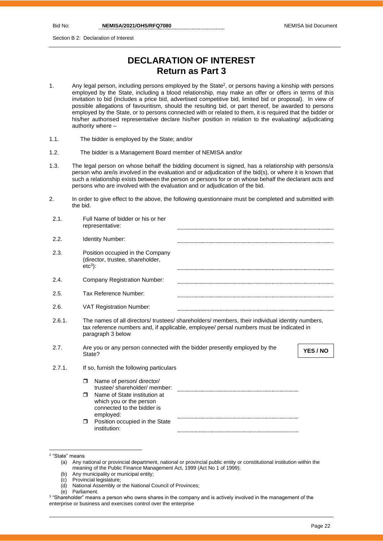Section B 2: Declaration of Interest

# **DECLARATION OF INTEREST Return as Part 3**

- 1. Any legal person, including persons employed by the State<sup>2</sup>, or persons having a kinship with persons employed by the State, including a blood relationship, may make an offer or offers in terms of this invitation to bid (includes a price bid, advertised competitive bid, limited bid or proposal). In view of possible allegations of favouritism, should the resulting bid, or part thereof, be awarded to persons employed by the State, or to persons connected with or related to them, it is required that the bidder or his/her authorised representative declare his/her position in relation to the evaluating/ adjudicating authority where –
- 1.1. The bidder is employed by the State; and/or
- 1.2. The bidder is a Management Board member of NEMISA and/or
- 1.3. The legal person on whose behalf the bidding document is signed, has a relationship with persons/a person who are/is involved in the evaluation and or adjudication of the bid(s), or where it is known that such a relationship exists between the person or persons for or on whose behalf the declarant acts and persons who are involved with the evaluation and or adjudication of the bid.
- 2. In order to give effect to the above, the following questionnaire must be completed and submitted with the bid.

| 2.1.   | Full Name of bidder or his or her<br>representative:                                                                                                                                                            |
|--------|-----------------------------------------------------------------------------------------------------------------------------------------------------------------------------------------------------------------|
| 2.2.   | Identity Number:                                                                                                                                                                                                |
| 2.3.   | Position occupied in the Company<br>(director, trustee, shareholder,<br>$etc3$ :                                                                                                                                |
| 2.4.   | Company Registration Number:                                                                                                                                                                                    |
| 2.5.   | Tax Reference Number:                                                                                                                                                                                           |
| 2.6.   | <b>VAT Registration Number:</b>                                                                                                                                                                                 |
| 2.6.1. | The names of all directors/ trustees/ shareholders/ members, their individual identity numbers,<br>tax reference numbers and, if applicable, employee/ persal numbers must be indicated in<br>paragraph 3 below |
| 2.7.   | Are you or any person connected with the bidder presently employed by the<br>YES / NO<br>State?                                                                                                                 |
| 2.7.1. | If so, furnish the following particulars                                                                                                                                                                        |
|        | Name of person/ director/<br>$\Box$<br>trustee/ shareholder/ member:                                                                                                                                            |
|        | Name of State institution at<br>$\Box$<br>which you or the person<br>connected to the bidder is<br>employed:                                                                                                    |
|        | Position occupied in the State<br>$\Box$<br>institution:                                                                                                                                                        |

- (b) Any municipality or municipal entity;
- (c) Provincial legislature;
- (d) National Assembly or the National Council of Provinces;
- (e) Parliament.

<sup>2</sup> "State" means

<sup>(</sup>a) Any national or provincial department, national or provincial public entity or constitutional institution within the meaning of the Public Finance Management Act, 1999 (Act No 1 of 1999);

 $^3$  "Shareholder" means a person who owns shares in the company and is actively involved in the management of the enterprise or business and exercises control over the enterprise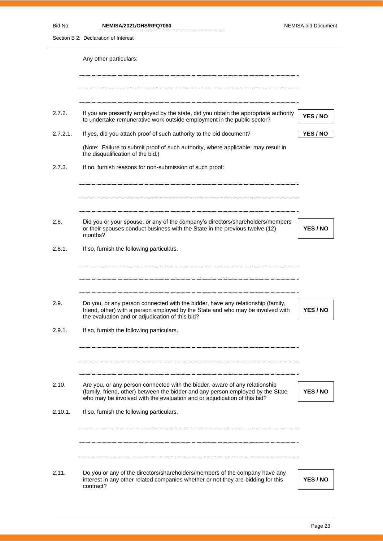| Bid No:        | NEMISA/2021/OHS/RFQ7080<br>Section B 2: Declaration of Interest                                                                                                                                                                            | NEMISA bid Document |
|----------------|--------------------------------------------------------------------------------------------------------------------------------------------------------------------------------------------------------------------------------------------|---------------------|
|                | Any other particulars:                                                                                                                                                                                                                     |                     |
| 2.7.2.         | If you are presently employed by the state, did you obtain the appropriate authority<br>to undertake remunerative work outside employment in the public sector?                                                                            | YES / NO            |
| 2.7.2.1.       | If yes, did you attach proof of such authority to the bid document?                                                                                                                                                                        | YES / NO            |
|                | (Note: Failure to submit proof of such authority, where applicable, may result in<br>the disqualification of the bid.)                                                                                                                     |                     |
| 2.7.3.         | If no, furnish reasons for non-submission of such proof:                                                                                                                                                                                   |                     |
| 2.8.<br>2.8.1. | Did you or your spouse, or any of the company's directors/shareholders/members<br>or their spouses conduct business with the State in the previous twelve (12)<br>months?<br>If so, furnish the following particulars.                     | YES / NO            |
| 2.9.           | Do you, or any person connected with the bidder, have any relationship (family,                                                                                                                                                            |                     |
|                | friend, other) with a person employed by the State and who may be involved with<br>the evaluation and or adjudication of this bid?                                                                                                         | YES / NO            |
| 2.9.1.         | If so, furnish the following particulars.                                                                                                                                                                                                  |                     |
| 2.10.          | Are you, or any person connected with the bidder, aware of any relationship<br>(family, friend, other) between the bidder and any person employed by the State<br>who may be involved with the evaluation and or adjudication of this bid? | YES / NO            |
| 2.10.1.        | If so, furnish the following particulars.                                                                                                                                                                                                  |                     |
|                |                                                                                                                                                                                                                                            |                     |

2.11. Do you or any of the directors/shareholders/members of the company have any interest in any other related companies whether or not they are bidding for this contract?

**YES / NO**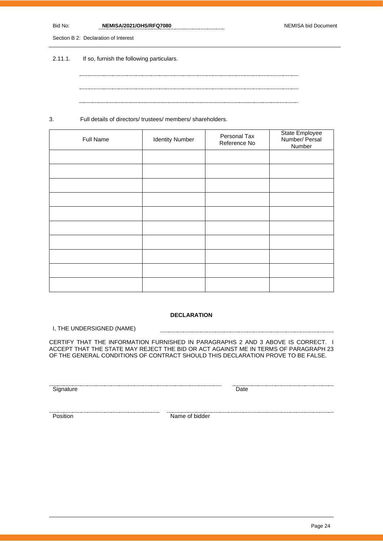| Bid No. | NEMISA/2021/OHS/RFQ7080 | NEMISA bid Document |
|---------|-------------------------|---------------------|
|         |                         |                     |

Section B 2: Declaration of Interest

2.11.1. If so, furnish the following particulars.

3. Full details of directors/ trustees/ members/ shareholders.

| Full Name | <b>Identity Number</b> | Personal Tax<br>Reference No | State Employee<br>Number/ Persal<br>Number |
|-----------|------------------------|------------------------------|--------------------------------------------|
|           |                        |                              |                                            |
|           |                        |                              |                                            |
|           |                        |                              |                                            |
|           |                        |                              |                                            |
|           |                        |                              |                                            |
|           |                        |                              |                                            |
|           |                        |                              |                                            |
|           |                        |                              |                                            |
|           |                        |                              |                                            |
|           |                        |                              |                                            |

### **DECLARATION**

I, THE UNDERSIGNED (NAME)

CERTIFY THAT THE INFORMATION FURNISHED IN PARAGRAPHS 2 AND 3 ABOVE IS CORRECT. I ACCEPT THAT THE STATE MAY REJECT THE BID OR ACT AGAINST ME IN TERMS OF PARAGRAPH 23 OF THE GENERAL CONDITIONS OF CONTRACT SHOULD THIS DECLARATION PROVE TO BE FALSE.

Signature Date

Position Name of bidder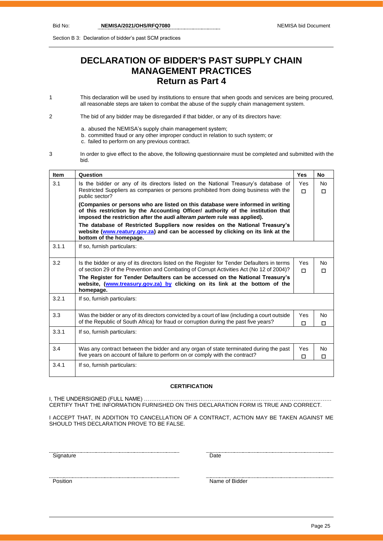Section B 3: Declaration of bidder's past SCM practices

# **DECLARATION OF BIDDER'S PAST SUPPLY CHAIN MANAGEMENT PRACTICES Return as Part 4**

1 This declaration will be used by institutions to ensure that when goods and services are being procured, all reasonable steps are taken to combat the abuse of the supply chain management system.

2 The bid of any bidder may be disregarded if that bidder, or any of its directors have:

- a. abused the NEMISA's supply chain management system;
- b. committed fraud or any other improper conduct in relation to such system; or
	- c. failed to perform on any previous contract.
- 3 In order to give effect to the above, the following questionnaire must be completed and submitted with the bid.

| <b>Item</b> | Question                                                                                                                                                                                                                                       | <b>Yes</b>      | No       |
|-------------|------------------------------------------------------------------------------------------------------------------------------------------------------------------------------------------------------------------------------------------------|-----------------|----------|
| 3.1         | Is the bidder or any of its directors listed on the National Treasury's database of<br>Restricted Suppliers as companies or persons prohibited from doing business with the<br>public sector?                                                  | <b>Yes</b><br>п | No.<br>п |
|             | (Companies or persons who are listed on this database were informed in writing<br>of this restriction by the Accounting Officer/ authority of the institution that<br>imposed the restriction after the audi alteram partem rule was applied). |                 |          |
|             | The database of Restricted Suppliers now resides on the National Treasury's<br>website (www.reatury.gov.za) and can be accessed by clicking on its link at the<br>bottom of the homepage.                                                      |                 |          |
| 3.1.1       | If so, furnish particulars:                                                                                                                                                                                                                    |                 |          |
| 3.2         | Is the bidder or any of its directors listed on the Register for Tender Defaulters in terms<br>of section 29 of the Prevention and Combating of Corrupt Activities Act (No 12 of 2004)?                                                        | Yes<br>П        | No.<br>П |
|             | The Register for Tender Defaulters can be accessed on the National Treasury's<br>website, (www.treasury.gov.za) by clicking on its link at the bottom of the<br>homepage.                                                                      |                 |          |
| 3.2.1       | If so, furnish particulars:                                                                                                                                                                                                                    |                 |          |
| 3.3         | Was the bidder or any of its directors convicted by a court of law (including a court outside<br>of the Republic of South Africa) for fraud or corruption during the past five years?                                                          | Yes<br>П        | No<br>П  |
| 3.3.1       | If so, furnish particulars:                                                                                                                                                                                                                    |                 |          |
| 3.4         | Was any contract between the bidder and any organ of state terminated during the past<br>five years on account of failure to perform on or comply with the contract?                                                                           | Yes<br>□        | No<br>□  |
| 3.4.1       | If so, furnish particulars:                                                                                                                                                                                                                    |                 |          |

### **CERTIFICATION**

I, THE UNDERSIGNED (FULL NAME) …………………………………………………………………………………………. CERTIFY THAT THE INFORMATION FURNISHED ON THIS DECLARATION FORM IS TRUE AND CORRECT.

I ACCEPT THAT, IN ADDITION TO CANCELLATION OF A CONTRACT, ACTION MAY BE TAKEN AGAINST ME SHOULD THIS DECLARATION PROVE TO BE FALSE.

Signature Date

name of Bidder Name of Bidder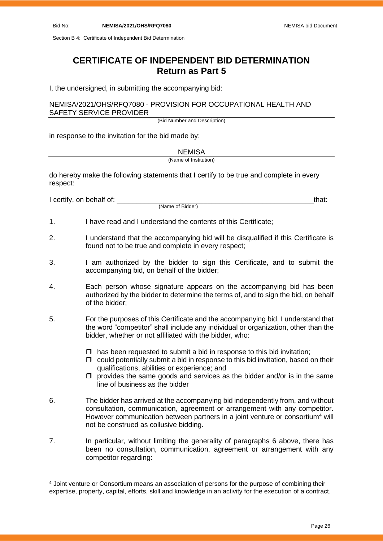Section B 4: Certificate of Independent Bid Determination

# **CERTIFICATE OF INDEPENDENT BID DETERMINATION Return as Part 5**

I, the undersigned, in submitting the accompanying bid:

### NEMISA/2021/OHS/RFQ7080 - PROVISION FOR OCCUPATIONAL HEALTH AND SAFETY SERVICE PROVIDER

(Bid Number and Description)

in response to the invitation for the bid made by:

**NEMISA** 

(Name of Institution)

do hereby make the following statements that I certify to be true and complete in every respect:

I certify, on behalf of: that:  $\blacksquare$ 

(Name of Bidder)

- 1. I have read and I understand the contents of this Certificate;
- 2. I understand that the accompanying bid will be disqualified if this Certificate is found not to be true and complete in every respect;
- 3. I am authorized by the bidder to sign this Certificate, and to submit the accompanying bid, on behalf of the bidder;
- 4. Each person whose signature appears on the accompanying bid has been authorized by the bidder to determine the terms of, and to sign the bid, on behalf of the bidder;
- 5. For the purposes of this Certificate and the accompanying bid, I understand that the word "competitor" shall include any individual or organization, other than the bidder, whether or not affiliated with the bidder, who:
	- $\Box$  has been requested to submit a bid in response to this bid invitation;
	- $\Box$  could potentially submit a bid in response to this bid invitation, based on their qualifications, abilities or experience; and
	- $\square$  provides the same goods and services as the bidder and/or is in the same line of business as the bidder
- 6. The bidder has arrived at the accompanying bid independently from, and without consultation, communication, agreement or arrangement with any competitor. However communication between partners in a joint venture or consortium<sup>4</sup> will not be construed as collusive bidding.
- 7. In particular, without limiting the generality of paragraphs 6 above, there has been no consultation, communication, agreement or arrangement with any competitor regarding:

<sup>4</sup> Joint venture or Consortium means an association of persons for the purpose of combining their expertise, property, capital, efforts, skill and knowledge in an activity for the execution of a contract.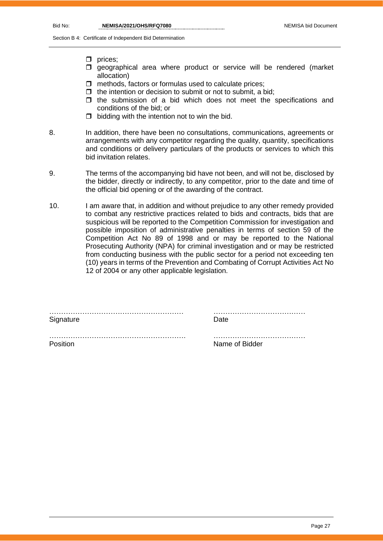Section B 4: Certificate of Independent Bid Determination

- $\square$  prices:
- $\square$  geographical area where product or service will be rendered (market allocation)
- $\Box$  methods, factors or formulas used to calculate prices;
- $\Box$  the intention or decision to submit or not to submit, a bid;
- $\Box$  the submission of a bid which does not meet the specifications and conditions of the bid; or
- $\Box$  bidding with the intention not to win the bid.
- 8. In addition, there have been no consultations, communications, agreements or arrangements with any competitor regarding the quality, quantity, specifications and conditions or delivery particulars of the products or services to which this bid invitation relates.
- 9. The terms of the accompanying bid have not been, and will not be, disclosed by the bidder, directly or indirectly, to any competitor, prior to the date and time of the official bid opening or of the awarding of the contract.
- 10. I am aware that, in addition and without prejudice to any other remedy provided to combat any restrictive practices related to bids and contracts, bids that are suspicious will be reported to the Competition Commission for investigation and possible imposition of administrative penalties in terms of section 59 of the Competition Act No 89 of 1998 and or may be reported to the National Prosecuting Authority (NPA) for criminal investigation and or may be restricted from conducting business with the public sector for a period not exceeding ten (10) years in terms of the Prevention and Combating of Corrupt Activities Act No 12 of 2004 or any other applicable legislation.

…………………………………………………. …………………………………

………………………………………………… ………………………………… Signature **Date** 

Position **Name of Bidder Name of Bidder**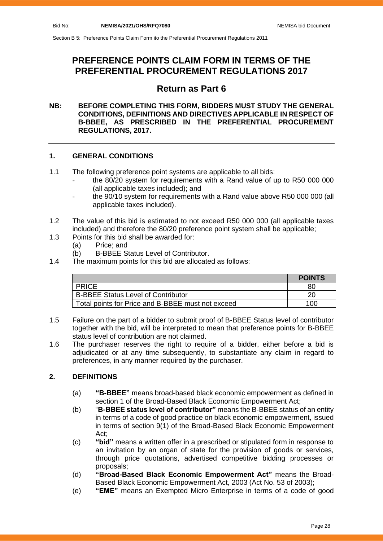# **PREFERENCE POINTS CLAIM FORM IN TERMS OF THE PREFERENTIAL PROCUREMENT REGULATIONS 2017**

# **Return as Part 6**

### **NB: BEFORE COMPLETING THIS FORM, BIDDERS MUST STUDY THE GENERAL CONDITIONS, DEFINITIONS AND DIRECTIVES APPLICABLE IN RESPECT OF B-BBEE, AS PRESCRIBED IN THE PREFERENTIAL PROCUREMENT REGULATIONS, 2017.**

# **1. GENERAL CONDITIONS**

- 1.1 The following preference point systems are applicable to all bids:
	- the 80/20 system for requirements with a Rand value of up to R50 000 000 (all applicable taxes included); and
	- the 90/10 system for requirements with a Rand value above R50 000 000 (all applicable taxes included).
- 1.2 The value of this bid is estimated to not exceed R50 000 000 (all applicable taxes included) and therefore the 80/20 preference point system shall be applicable;
- 1.3 Points for this bid shall be awarded for:
	- (a) Price; and
	- (b) B-BBEE Status Level of Contributor.
- 1.4 The maximum points for this bid are allocated as follows:

|                                                   | <b>POINTS</b> |
|---------------------------------------------------|---------------|
| <b>PRICE</b>                                      | 80            |
| <b>B-BBEE Status Level of Contributor</b>         | 20            |
| Total points for Price and B-BBEE must not exceed | 100           |

- 1.5 Failure on the part of a bidder to submit proof of B-BBEE Status level of contributor together with the bid, will be interpreted to mean that preference points for B-BBEE status level of contribution are not claimed.
- 1.6 The purchaser reserves the right to require of a bidder, either before a bid is adjudicated or at any time subsequently, to substantiate any claim in regard to preferences, in any manner required by the purchaser.

# **2. DEFINITIONS**

- (a) **"B-BBEE"** means broad-based black economic empowerment as defined in section 1 of the Broad-Based Black Economic Empowerment Act;
- (b) "**B-BBEE status level of contributor"** means the B-BBEE status of an entity in terms of a code of good practice on black economic empowerment, issued in terms of section 9(1) of the Broad-Based Black Economic Empowerment Act;
- (c) **"bid"** means a written offer in a prescribed or stipulated form in response to an invitation by an organ of state for the provision of goods or services, through price quotations, advertised competitive bidding processes or proposals;
- (d) **"Broad-Based Black Economic Empowerment Act"** means the Broad-Based Black Economic Empowerment Act, 2003 (Act No. 53 of 2003);
- (e) **"EME"** means an Exempted Micro Enterprise in terms of a code of good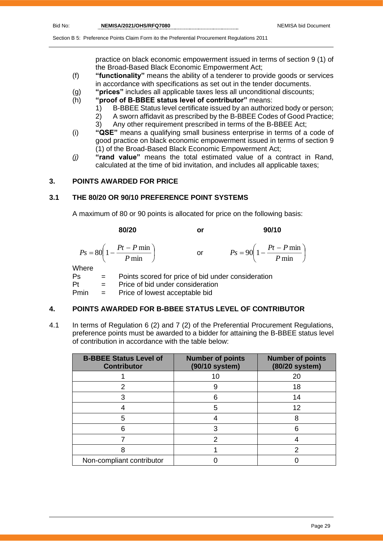practice on black economic empowerment issued in terms of section 9 (1) of the Broad-Based Black Economic Empowerment Act;

- (f) **"functionality"** means the ability of a tenderer to provide goods or services in accordance with specifications as set out in the tender documents.
- (g) **"prices"** includes all applicable taxes less all unconditional discounts;
- (h) **"proof of B-BBEE status level of contributor"** means:
	- 1) B-BBEE Status level certificate issued by an authorized body or person;
	- 2) A sworn affidavit as prescribed by the B-BBEE Codes of Good Practice;
	- 3) Any other requirement prescribed in terms of the B-BBEE Act;
- (i) **"QSE"** means a qualifying small business enterprise in terms of a code of good practice on black economic empowerment issued in terms of section 9 (1) of the Broad-Based Black Economic Empowerment Act;
- *(j)* **"rand value"** means the total estimated value of a contract in Rand, calculated at the time of bid invitation, and includes all applicable taxes;

# **3. POINTS AWARDED FOR PRICE**

# **3.1 THE 80/20 OR 90/10 PREFERENCE POINT SYSTEMS**

A maximum of 80 or 90 points is allocated for price on the following basis:

|             | 80/20                                                     | or            | 90/10                                                  |
|-------------|-----------------------------------------------------------|---------------|--------------------------------------------------------|
|             | $P s = 80 \left( 1 - \frac{Pt - P \min P}{ \min} \right)$ | $\mathsf{or}$ | $Ps = 90\left(1 - \frac{Pt - P \min P}{ \min }\right)$ |
| Where<br>Ps | Points scored for price of bid under consideration        |               |                                                        |

Pt = Price of bid under consideration Pmin = Price of lowest acceptable bid

### **4. POINTS AWARDED FOR B-BBEE STATUS LEVEL OF CONTRIBUTOR**

4.1 In terms of Regulation 6 (2) and 7 (2) of the Preferential Procurement Regulations, preference points must be awarded to a bidder for attaining the B-BBEE status level of contribution in accordance with the table below:

| <b>B-BBEE Status Level of</b><br><b>Contributor</b> | <b>Number of points</b><br>(90/10 system) | <b>Number of points</b><br>(80/20 system) |
|-----------------------------------------------------|-------------------------------------------|-------------------------------------------|
|                                                     | 10                                        | 20                                        |
|                                                     |                                           | 18                                        |
|                                                     | հ                                         | 14                                        |
|                                                     | 5                                         | 12                                        |
| 5                                                   |                                           | 8                                         |
|                                                     | 3                                         |                                           |
|                                                     |                                           |                                           |
|                                                     |                                           |                                           |
| Non-compliant contributor                           |                                           |                                           |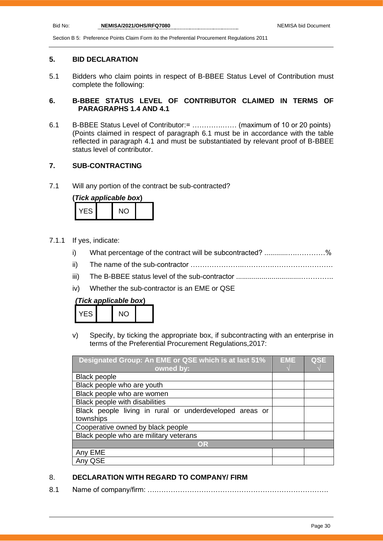### **5. BID DECLARATION**

5.1 Bidders who claim points in respect of B-BBEE Status Level of Contribution must complete the following:

# **6. B-BBEE STATUS LEVEL OF CONTRIBUTOR CLAIMED IN TERMS OF PARAGRAPHS 1.4 AND 4.1**

6.1 B-BBEE Status Level of Contributor:= ………….…… (maximum of 10 or 20 points) (Points claimed in respect of paragraph 6.1 must be in accordance with the table reflected in paragraph 4.1 and must be substantiated by relevant proof of B-BBEE status level of contributor.

# **7. SUB-CONTRACTING**

7.1 Will any portion of the contract be sub-contracted?

| (Tick applicable box) |  |     |  |
|-----------------------|--|-----|--|
| YFS.                  |  | NO. |  |

- 7.1.1 If yes, indicate:
	- i) What percentage of the contract will be subcontracted? ..........................%
	- ii) The name of the sub-contractor …………………..………….…………………….
	- iii) The B-BBEE status level of the sub-contractor .................................…………..
	- iv) Whether the sub-contractor is an EME or QSE

# *(Tick applicable box***)**

| .J |  |  |
|----|--|--|

v) Specify, by ticking the appropriate box, if subcontracting with an enterprise in terms of the Preferential Procurement Regulations,2017:

| Designated Group: An EME or QSE which is at last 51%    |  | <b>QSE</b> |
|---------------------------------------------------------|--|------------|
| owned by:                                               |  |            |
| <b>Black people</b>                                     |  |            |
| Black people who are youth                              |  |            |
| Black people who are women                              |  |            |
| Black people with disabilities                          |  |            |
| Black people living in rural or underdeveloped areas or |  |            |
| townships                                               |  |            |
| Cooperative owned by black people                       |  |            |
| Black people who are military veterans                  |  |            |
| OR                                                      |  |            |
| Any EME                                                 |  |            |
| QSE                                                     |  |            |

# 8. **DECLARATION WITH REGARD TO COMPANY/ FIRM**

8.1 Name of company/firm: ….……………………………………………………………….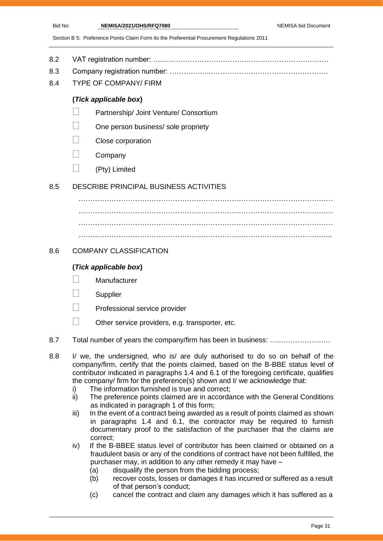- 8.2 VAT registration number: …..……………………………….……………………………
- 8.3 Company registration number: ……….……..…………….…………………………….
- 8.4 TYPE OF COMPANY/ FIRM

# **(***Tick applicable box***)**

- Partnership/ Joint Venture/ Consortium
- One person business/ sole propriety
- Close corporation
- **Company**
- (Pty) Limited

# 8.5 DESCRIBE PRINCIPAL BUSINESS ACTIVITIES

……………………………………………………………………………………………… ……………………………………………………………………………………………… ……………………………………………………………………………………………… ………………………………………………………………………………………….…..

# 8.6 COMPANY CLASSIFICATION

# **(***Tick applicable box***)**

- **Manufacturer**
- **Supplier**
- Professional service provider
- $\Box$  Other service providers, e.g. transporter, etc.
- 8.7 Total number of years the company/firm has been in business: …………………………
- 8.8 I/ we, the undersigned, who is/ are duly authorised to do so on behalf of the company/firm, certify that the points claimed, based on the B-BBE status level of contributor indicated in paragraphs 1.4 and 6.1 of the foregoing certificate, qualifies the company/ firm for the preference(s) shown and I/ we acknowledge that:
	- i) The information furnished is true and correct;
	- ii) The preference points claimed are in accordance with the General Conditions as indicated in paragraph 1 of this form;
	- iii) In the event of a contract being awarded as a result of points claimed as shown in paragraphs 1.4 and 6.1, the contractor may be required to furnish documentary proof to the satisfaction of the purchaser that the claims are correct;
	- iv) If the B-BBEE status level of contributor has been claimed or obtained on a fraudulent basis or any of the conditions of contract have not been fulfilled, the purchaser may, in addition to any other remedy it may have –
		- (a) disqualify the person from the bidding process;
		- (b) recover costs, losses or damages it has incurred or suffered as a result of that person's conduct;
		- (c) cancel the contract and claim any damages which it has suffered as a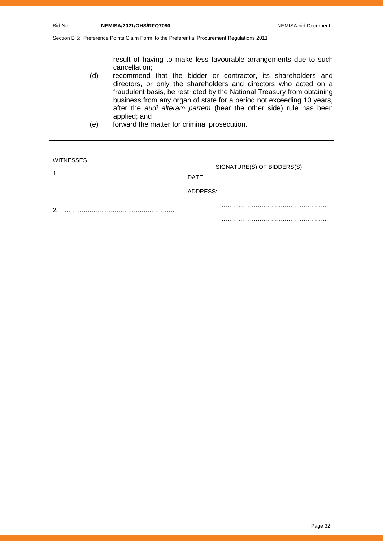result of having to make less favourable arrangements due to such cancellation;

- (d) recommend that the bidder or contractor, its shareholders and directors, or only the shareholders and directors who acted on a fraudulent basis, be restricted by the National Treasury from obtaining business from any organ of state for a period not exceeding 10 years, after the *audi alteram partem* (hear the other side) rule has been applied; and
- (e) forward the matter for criminal prosecution.

| <b>WITNESSES</b><br>и | SIGNATURE(S) OF BIDDERS(S)<br>DATE: |
|-----------------------|-------------------------------------|
|                       | ADDRESS:                            |
| ົ                     |                                     |
|                       | .                                   |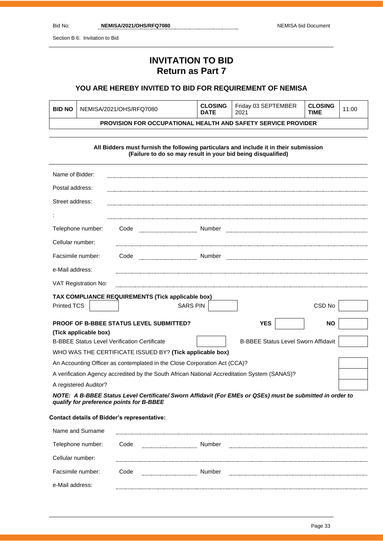Section B 6: Invitation to Bid

# **INVITATION TO BID Return as Part 7**

# **YOU ARE HEREBY INVITED TO BID FOR REQUIREMENT OF NEMISA**

| <b>BID NO</b>                                                        | NEMISA/2021/OHS/RFQ7080 | <b>CLOSING</b><br><b>DATE</b> | Friday 03 SEPTEMBER<br>2021 | <b>CLOSING</b><br><b>TIME</b> | 11:00 |
|----------------------------------------------------------------------|-------------------------|-------------------------------|-----------------------------|-------------------------------|-------|
| <b>PROVISION FOR OCCUPATIONAL HEALTH AND SAFETY SERVICE PROVIDER</b> |                         |                               |                             |                               |       |

### **All Bidders must furnish the following particulars and include it in their submission (Failure to do so may result in your bid being disqualified)**

| Name of Bidder:                                                                                                                                       |      |                 |        |                                            |           |  |
|-------------------------------------------------------------------------------------------------------------------------------------------------------|------|-----------------|--------|--------------------------------------------|-----------|--|
| Postal address:                                                                                                                                       |      |                 |        |                                            |           |  |
| Street address:                                                                                                                                       |      |                 |        |                                            |           |  |
|                                                                                                                                                       |      |                 |        |                                            |           |  |
| Telephone number:                                                                                                                                     | Code |                 | Number |                                            |           |  |
| Cellular number:                                                                                                                                      |      |                 |        |                                            |           |  |
| Facsimile number:                                                                                                                                     | Code |                 | Number |                                            |           |  |
| e-Mail address:                                                                                                                                       |      |                 |        |                                            |           |  |
| VAT Registration No:                                                                                                                                  |      |                 |        |                                            |           |  |
| TAX COMPLIANCE REQUIREMENTS (Tick applicable box)                                                                                                     |      |                 |        |                                            |           |  |
| <b>Printed TCS</b>                                                                                                                                    |      | <b>SARS PIN</b> |        |                                            | CSD No    |  |
| <b>PROOF OF B-BBEE STATUS LEVEL SUBMITTED?</b>                                                                                                        |      |                 |        | <b>YES</b>                                 | <b>NO</b> |  |
| (Tick applicable box)                                                                                                                                 |      |                 |        |                                            |           |  |
| <b>B-BBEE Status Level Verification Certificate</b>                                                                                                   |      |                 |        | <b>B-BBEE Status Level Sworn Affidavit</b> |           |  |
| WHO WAS THE CERTIFICATE ISSUED BY? (Tick applicable box)                                                                                              |      |                 |        |                                            |           |  |
| An Accounting Officer as contemplated in the Close Corporation Act (CCA)?                                                                             |      |                 |        |                                            |           |  |
| A verification Agency accredited by the South African National Accreditation System (SANAS)?                                                          |      |                 |        |                                            |           |  |
| A registered Auditor?                                                                                                                                 |      |                 |        |                                            |           |  |
| NOTE: A B-BBEE Status Level Certificate/ Sworn Affidavit (For EMEs or QSEs) must be submitted in order to<br>qualify for preference points for B-BBEE |      |                 |        |                                            |           |  |
| <b>Contact details of Bidder's representative:</b>                                                                                                    |      |                 |        |                                            |           |  |

| Name and Surname  |      |                         |  |
|-------------------|------|-------------------------|--|
| Telephone number: | Code | Number                  |  |
| Cellular number:  |      |                         |  |
| Facsimile number: | Code | Number<br>------------- |  |
| e-Mail address:   |      |                         |  |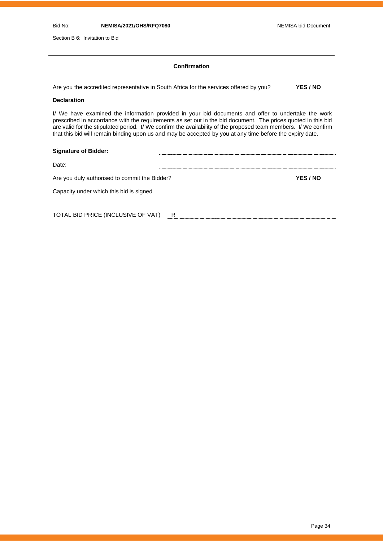Section B 6: Invitation to Bid

### **Confirmation**

Are you the accredited representative in South Africa for the services offered by you? **YES / NO**

### **Declaration**

I/ We have examined the information provided in your bid documents and offer to undertake the work prescribed in accordance with the requirements as set out in the bid document. The prices quoted in this bid are valid for the stipulated period. I/ We confirm the availability of the proposed team members. I/ We confirm that this bid will remain binding upon us and may be accepted by you at any time before the expiry date.

| <b>Signature of Bidder:</b>                   |   |                 |
|-----------------------------------------------|---|-----------------|
| Date:                                         |   |                 |
| Are you duly authorised to commit the Bidder? |   | <b>YES / NO</b> |
| Capacity under which this bid is signed       |   |                 |
|                                               |   |                 |
| TOTAL BID PRICE (INCLUSIVE OF VAT)            | R |                 |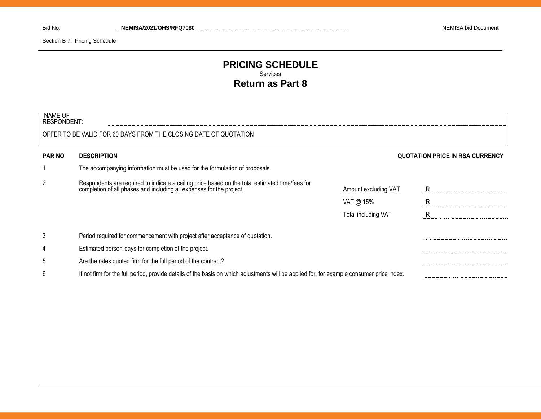Section B 7: Pricing Schedule

# **PRICING SCHEDULE** Services **Return as Part 8**

| NAME OF<br><b>RESPONDENT:</b> |                                                                                                                                                                      |                      |                                 |  |
|-------------------------------|----------------------------------------------------------------------------------------------------------------------------------------------------------------------|----------------------|---------------------------------|--|
|                               | OFFER TO BE VALID FOR 60 DAYS FROM THE CLOSING DATE OF QUOTATION                                                                                                     |                      |                                 |  |
| <b>PAR NO</b>                 | <b>DESCRIPTION</b>                                                                                                                                                   |                      | QUOTATION PRICE IN RSA CURRENCY |  |
|                               | The accompanying information must be used for the formulation of proposals.                                                                                          |                      |                                 |  |
| 2                             | Respondents are required to indicate a ceiling price based on the total estimated time/fees for completion of all phases and including all expenses for the project. | Amount excluding VAT | -R                              |  |
|                               |                                                                                                                                                                      | VAT @ $15\%$         | R                               |  |
|                               |                                                                                                                                                                      | Total including VAT  | $\mathsf{R}$                    |  |
| 3                             | Period required for commencement with project after acceptance of quotation.                                                                                         |                      |                                 |  |
| 4                             | Estimated person-days for completion of the project.                                                                                                                 |                      |                                 |  |
| 5                             | Are the rates quoted firm for the full period of the contract?                                                                                                       |                      |                                 |  |
| 6                             | If not firm for the full period, provide details of the basis on which adjustments will be applied for, for example consumer price index.                            |                      |                                 |  |